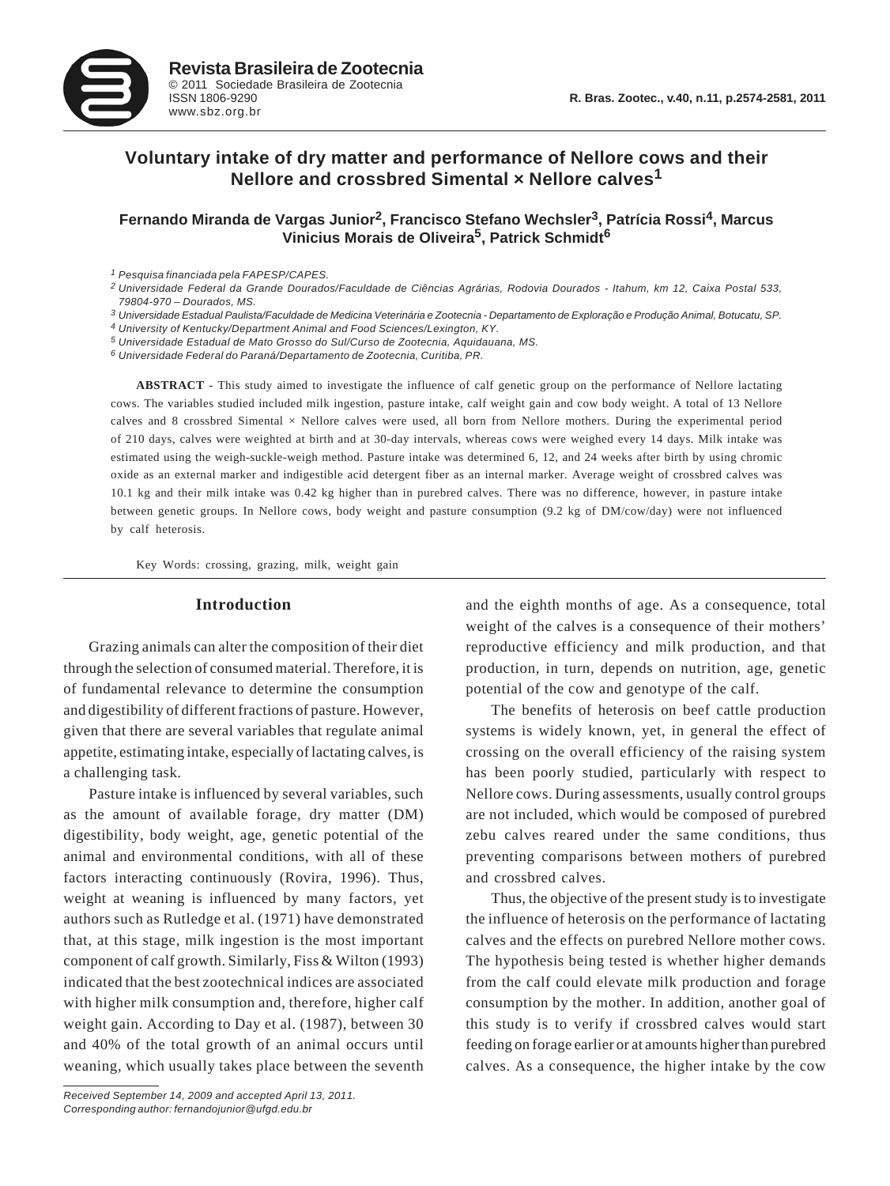



**Revista Brasileira de Zootecnia** © 2011 Sociedade Brasileira de Zootecnia ISSN 1806-9290 www.sbz.org.br

# **Voluntary intake of dry matter and performance of Nellore cows and their Nellore and crossbred Simental × Nellore calves<sup>1</sup>**

**Fernando Miranda de Vargas Junior2, Francisco Stefano Wechsler3, Patrícia Rossi4, Marcus Vinicius Morais de Oliveira5, Patrick Schmidt6**

*<sup>1</sup> Pesquisa financiada pela FAPESP/CAPES.*

*<sup>2</sup> Universidade Federal da Grande Dourados/Faculdade de Ciências Agrárias, Rodovia Dourados - Itahum, km 12, Caixa Postal 533, 79804-970 – Dourados, MS.*

*<sup>3</sup> Universidade Estadual Paulista/Faculdade de Medicina Veterinária e Zootecnia - Departamento de Exploração e Produção Animal, Botucatu, SP.*

*<sup>4</sup> University of Kentucky/Department Animal and Food Sciences/Lexington, KY.*

*<sup>5</sup> Universidade Estadual de Mato Grosso do Sul/Curso de Zootecnia, Aquidauana, MS.*

*<sup>6</sup> Universidade Federal do Paraná/Departamento de Zootecnia, Curitiba, PR.*

**ABSTRACT** - This study aimed to investigate the influence of calf genetic group on the performance of Nellore lactating cows. The variables studied included milk ingestion, pasture intake, calf weight gain and cow body weight. A total of 13 Nellore calves and 8 crossbred Simental  $\times$  Nellore calves were used, all born from Nellore mothers. During the experimental period of 210 days, calves were weighted at birth and at 30-day intervals, whereas cows were weighed every 14 days. Milk intake was estimated using the weigh-suckle-weigh method. Pasture intake was determined 6, 12, and 24 weeks after birth by using chromic oxide as an external marker and indigestible acid detergent fiber as an internal marker. Average weight of crossbred calves was 10.1 kg and their milk intake was 0.42 kg higher than in purebred calves. There was no difference, however, in pasture intake between genetic groups. In Nellore cows, body weight and pasture consumption (9.2 kg of DM/cow/day) were not influenced by calf heterosis.

Key Words: crossing, grazing, milk, weight gain

#### **Introduction**

Grazing animals can alter the composition of their diet through the selection of consumed material. Therefore, it is of fundamental relevance to determine the consumption and digestibility of different fractions of pasture. However, given that there are several variables that regulate animal appetite, estimating intake, especially of lactating calves, is a challenging task.

Pasture intake is influenced by several variables, such as the amount of available forage, dry matter (DM) digestibility, body weight, age, genetic potential of the animal and environmental conditions, with all of these factors interacting continuously (Rovira, 1996). Thus, weight at weaning is influenced by many factors, yet authors such as Rutledge et al. (1971) have demonstrated that, at this stage, milk ingestion is the most important component of calf growth. Similarly, Fiss & Wilton (1993) indicated that the best zootechnical indices are associated with higher milk consumption and, therefore, higher calf weight gain. According to Day et al. (1987), between 30 and 40% of the total growth of an animal occurs until weaning, which usually takes place between the seventh

*Received September 14, 2009 and accepted April 13, 2011. Corresponding author: fernandojunior@ufgd.edu.br*

and the eighth months of age. As a consequence, total weight of the calves is a consequence of their mothers' reproductive efficiency and milk production, and that production, in turn, depends on nutrition, age, genetic potential of the cow and genotype of the calf.

The benefits of heterosis on beef cattle production systems is widely known, yet, in general the effect of crossing on the overall efficiency of the raising system has been poorly studied, particularly with respect to Nellore cows. During assessments, usually control groups are not included, which would be composed of purebred zebu calves reared under the same conditions, thus preventing comparisons between mothers of purebred and crossbred calves.

Thus, the objective of the present study is to investigate the influence of heterosis on the performance of lactating calves and the effects on purebred Nellore mother cows. The hypothesis being tested is whether higher demands from the calf could elevate milk production and forage consumption by the mother. In addition, another goal of this study is to verify if crossbred calves would start feeding on forage earlier or at amounts higher than purebred calves. As a consequence, the higher intake by the cow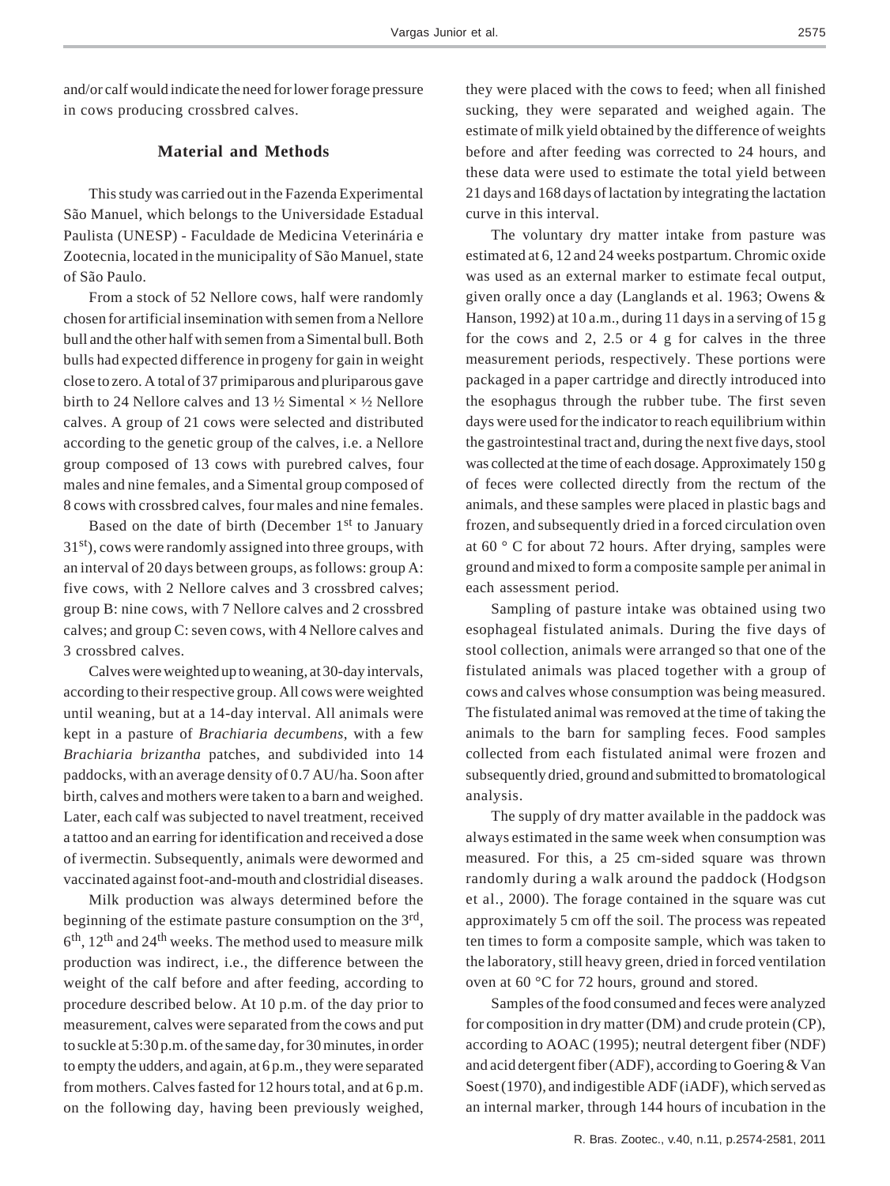and/or calf would indicate the need for lower forage pressure in cows producing crossbred calves.

## **Material and Methods**

This study was carried out in the Fazenda Experimental São Manuel, which belongs to the Universidade Estadual Paulista (UNESP) - Faculdade de Medicina Veterinária e Zootecnia, located in the municipality of São Manuel, state of São Paulo.

From a stock of 52 Nellore cows, half were randomly chosen for artificial insemination with semen from a Nellore bull and the other half with semen from a Simental bull. Both bulls had expected difference in progeny for gain in weight close to zero. A total of 37 primiparous and pluriparous gave birth to 24 Nellore calves and 13  $\frac{1}{2}$  Simental  $\times \frac{1}{2}$  Nellore calves. A group of 21 cows were selected and distributed according to the genetic group of the calves, i.e. a Nellore group composed of 13 cows with purebred calves, four males and nine females, and a Simental group composed of 8 cows with crossbred calves, four males and nine females.

Based on the date of birth (December  $1<sup>st</sup>$  to January 31st), cows were randomly assigned into three groups, with an interval of 20 days between groups, as follows: group A: five cows, with 2 Nellore calves and 3 crossbred calves; group B: nine cows, with 7 Nellore calves and 2 crossbred calves; and group C: seven cows, with 4 Nellore calves and 3 crossbred calves.

Calves were weighted up to weaning, at 30-day intervals, according to their respective group. All cows were weighted until weaning, but at a 14-day interval. All animals were kept in a pasture of *Brachiaria decumbens*, with a few *Brachiaria brizantha* patches, and subdivided into 14 paddocks, with an average density of 0.7 AU/ha. Soon after birth, calves and mothers were taken to a barn and weighed. Later, each calf was subjected to navel treatment, received a tattoo and an earring for identification and received a dose of ivermectin. Subsequently, animals were dewormed and vaccinated against foot-and-mouth and clostridial diseases.

Milk production was always determined before the beginning of the estimate pasture consumption on the 3<sup>rd</sup>,  $6<sup>th</sup>$ , 12<sup>th</sup> and 24<sup>th</sup> weeks. The method used to measure milk production was indirect, i.e., the difference between the weight of the calf before and after feeding, according to procedure described below. At 10 p.m. of the day prior to measurement, calves were separated from the cows and put to suckle at 5:30 p.m. of the same day, for 30 minutes, in order to empty the udders, and again, at 6 p.m., they were separated from mothers. Calves fasted for 12 hours total, and at 6 p.m. on the following day, having been previously weighed,

they were placed with the cows to feed; when all finished sucking, they were separated and weighed again. The estimate of milk yield obtained by the difference of weights before and after feeding was corrected to 24 hours, and these data were used to estimate the total yield between 21 days and 168 days of lactation by integrating the lactation curve in this interval.

The voluntary dry matter intake from pasture was estimated at 6, 12 and 24 weeks postpartum. Chromic oxide was used as an external marker to estimate fecal output, given orally once a day (Langlands et al. 1963; Owens & Hanson, 1992) at 10 a.m., during 11 days in a serving of 15 g for the cows and 2, 2.5 or 4 g for calves in the three measurement periods, respectively. These portions were packaged in a paper cartridge and directly introduced into the esophagus through the rubber tube. The first seven days were used for the indicator to reach equilibrium within the gastrointestinal tract and, during the next five days, stool was collected at the time of each dosage. Approximately 150 g of feces were collected directly from the rectum of the animals, and these samples were placed in plastic bags and frozen, and subsequently dried in a forced circulation oven at 60 ° C for about 72 hours. After drying, samples were ground and mixed to form a composite sample per animal in each assessment period.

Sampling of pasture intake was obtained using two esophageal fistulated animals. During the five days of stool collection, animals were arranged so that one of the fistulated animals was placed together with a group of cows and calves whose consumption was being measured. The fistulated animal was removed at the time of taking the animals to the barn for sampling feces. Food samples collected from each fistulated animal were frozen and subsequently dried, ground and submitted to bromatological analysis.

The supply of dry matter available in the paddock was always estimated in the same week when consumption was measured. For this, a 25 cm-sided square was thrown randomly during a walk around the paddock (Hodgson et al., 2000). The forage contained in the square was cut approximately 5 cm off the soil. The process was repeated ten times to form a composite sample, which was taken to the laboratory, still heavy green, dried in forced ventilation oven at 60 °C for 72 hours, ground and stored.

Samples of the food consumed and feces were analyzed for composition in dry matter (DM) and crude protein (CP), according to AOAC (1995); neutral detergent fiber (NDF) and acid detergent fiber (ADF), according to Goering & Van Soest (1970), and indigestible ADF (iADF), which served as an internal marker, through 144 hours of incubation in the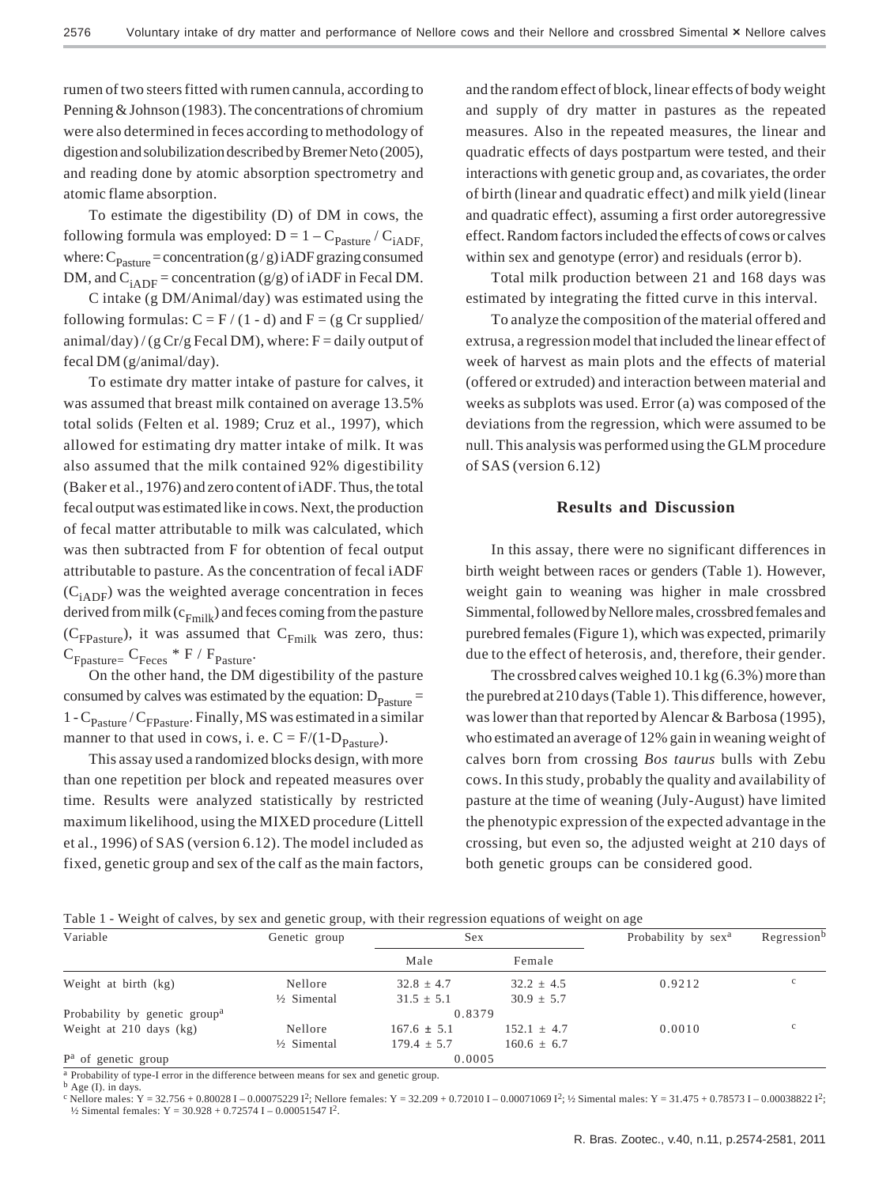rumen of two steers fitted with rumen cannula, according to Penning & Johnson (1983). The concentrations of chromium were also determined in feces according to methodology of digestion and solubilization described by Bremer Neto (2005), and reading done by atomic absorption spectrometry and atomic flame absorption.

To estimate the digestibility (D) of DM in cows, the following formula was employed:  $D = 1 - C_{Pasture} / C_{iADE}$ where:  $C_{\text{Pasture}} = \text{concentration}(g/g)$  iADF grazing consumed DM, and  $C_{iADE}$  = concentration (g/g) of iADF in Fecal DM.

C intake (g DM/Animal/day) was estimated using the following formulas:  $C = F/(1 - d)$  and  $F = (g Cr \text{ supplied}/$ animal/day) / (g Cr/g Fecal DM), where:  $F =$  daily output of fecal DM (g/animal/day).

To estimate dry matter intake of pasture for calves, it was assumed that breast milk contained on average 13.5% total solids (Felten et al. 1989; Cruz et al., 1997), which allowed for estimating dry matter intake of milk. It was also assumed that the milk contained 92% digestibility (Baker et al., 1976) and zero content of iADF. Thus, the total fecal output was estimated like in cows. Next, the production of fecal matter attributable to milk was calculated, which was then subtracted from F for obtention of fecal output attributable to pasture. As the concentration of fecal iADF  $(C<sub>iADF</sub>)$  was the weighted average concentration in feces derived from milk  $(c_{Fmilk})$  and feces coming from the pasture  $(C_{\text{FPasture}})$ , it was assumed that  $C_{\text{Fmilk}}$  was zero, thus:  $C_{\text{Fpasture}} C_{\text{Feces}} * F / F_{\text{Pasture}}.$ 

On the other hand, the DM digestibility of the pasture consumed by calves was estimated by the equation:  $D_{\text{Pasture}} =$ 1 - C<sub>Pasture</sub> / C<sub>FPasture</sub>. Finally, MS was estimated in a similar manner to that used in cows, i. e.  $C = F/(1-D_{\text{Pasture}})$ .

This assay used a randomized blocks design, with more than one repetition per block and repeated measures over time. Results were analyzed statistically by restricted maximum likelihood, using the MIXED procedure (Littell et al., 1996) of SAS (version 6.12). The model included as fixed, genetic group and sex of the calf as the main factors, and the random effect of block, linear effects of body weight and supply of dry matter in pastures as the repeated measures. Also in the repeated measures, the linear and quadratic effects of days postpartum were tested, and their interactions with genetic group and, as covariates, the order of birth (linear and quadratic effect) and milk yield (linear and quadratic effect), assuming a first order autoregressive effect. Random factors included the effects of cows or calves within sex and genotype (error) and residuals (error b).

Total milk production between 21 and 168 days was estimated by integrating the fitted curve in this interval.

To analyze the composition of the material offered and extrusa, a regression model that included the linear effect of week of harvest as main plots and the effects of material (offered or extruded) and interaction between material and weeks as subplots was used. Error (a) was composed of the deviations from the regression, which were assumed to be null. This analysis was performed using the GLM procedure of SAS (version 6.12)

#### **Results and Discussion**

In this assay, there were no significant differences in birth weight between races or genders (Table 1). However, weight gain to weaning was higher in male crossbred Simmental, followed by Nellore males, crossbred females and purebred females (Figure 1), which was expected, primarily due to the effect of heterosis, and, therefore, their gender.

The crossbred calves weighed 10.1 kg (6.3%) more than the purebred at 210 days (Table 1). This difference, however, was lower than that reported by Alencar & Barbosa (1995), who estimated an average of 12% gain in weaning weight of calves born from crossing *Bos taurus* bulls with Zebu cows. In this study, probably the quality and availability of pasture at the time of weaning (July-August) have limited the phenotypic expression of the expected advantage in the crossing, but even so, the adjusted weight at 210 days of both genetic groups can be considered good.

|  |  | Table 1 - Weight of calves, by sex and genetic group, with their regression equations of weight on age |
|--|--|--------------------------------------------------------------------------------------------------------|
|  |  |                                                                                                        |

| Variable                                  | Genetic group          | Sex             |                 | Probability by sex <sup>a</sup> | Regression <sup>b</sup> |
|-------------------------------------------|------------------------|-----------------|-----------------|---------------------------------|-------------------------|
|                                           |                        | Male            | Female          |                                 |                         |
| Weight at birth (kg)                      | Nellore                | $32.8 + 4.7$    | $32.2 + 4.5$    | 0.9212                          | $\mathbf{c}$            |
|                                           | $\frac{1}{2}$ Simental | $31.5 \pm 5.1$  | $30.9 + 5.7$    |                                 |                         |
| Probability by genetic group <sup>a</sup> |                        | 0.8379          |                 |                                 |                         |
| Weight at 210 days (kg)                   | Nellore                | $167.6 \pm 5.1$ | $152.1 \pm 4.7$ | 0.0010                          | $\mathbf{c}$            |
|                                           | $\frac{1}{2}$ Simental | $179.4 \pm 5.7$ | $160.6 + 6.7$   |                                 |                         |
| P <sup>a</sup> of genetic group           |                        | 0.0005          |                 |                                 |                         |

<sup>a</sup> Probability of type-I error in the difference between means for sex and genetic group.

<sup>b</sup> Age (I). in days.

 $c$  Nellore males: Y = 32.756 + 0.80028 I – 0.00075229 1<sup>2</sup>; Nellore females: Y = 32.209 + 0.72010 I – 0.00071069 1<sup>2</sup>; ½ Simental males: Y = 31.475 + 0.78573 I – 0.00038822 1<sup>2</sup>;  $\frac{1}{2}$  Simental females: Y = 30.928 + 0.72574 I – 0.00051547 I<sup>2</sup>.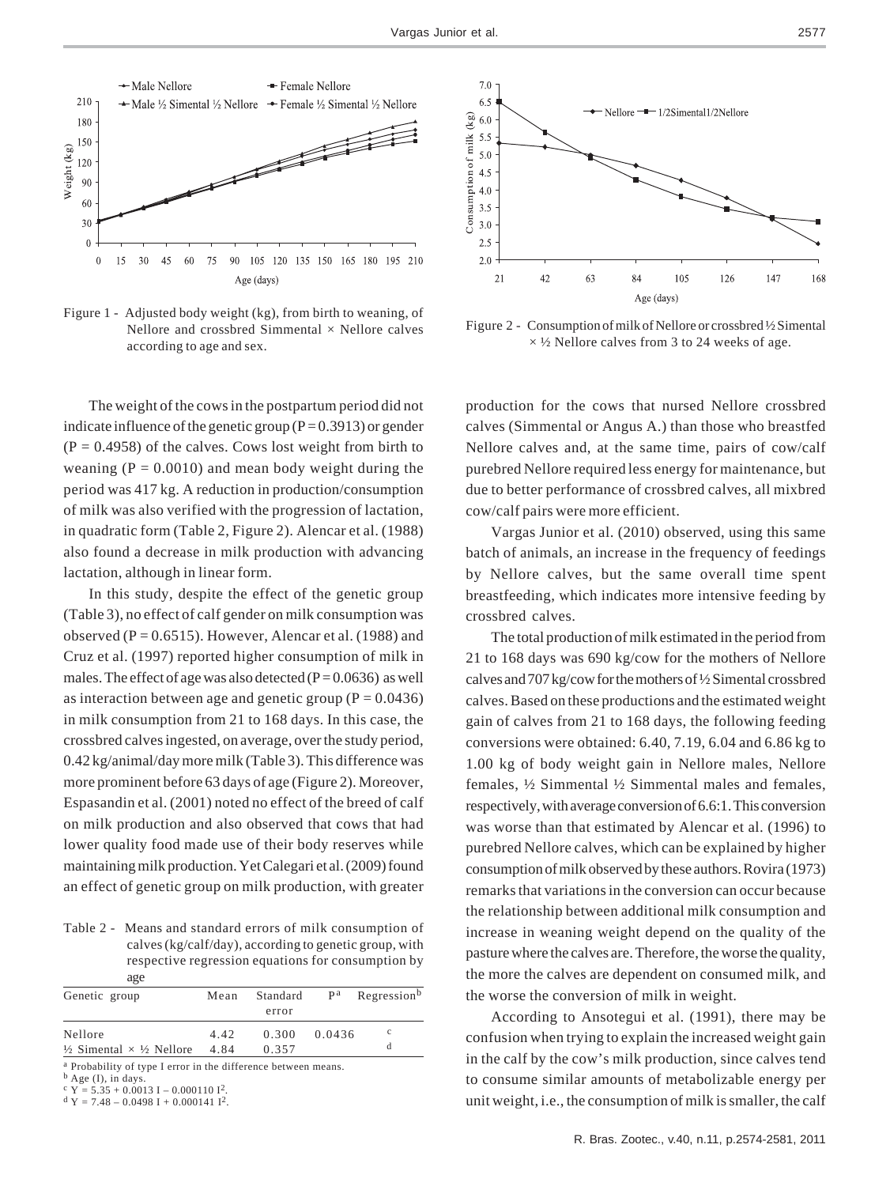

Figure 1 - Adjusted body weight (kg), from birth to weaning, of Nellore and crossbred Simmental × Nellore calves according to age and sex.

The weight of the cows in the postpartum period did not indicate influence of the genetic group ( $P = 0.3913$ ) or gender  $(P = 0.4958)$  of the calves. Cows lost weight from birth to weaning  $(P = 0.0010)$  and mean body weight during the period was 417 kg. A reduction in production/consumption of milk was also verified with the progression of lactation, in quadratic form (Table 2, Figure 2). Alencar et al. (1988) also found a decrease in milk production with advancing lactation, although in linear form.

In this study, despite the effect of the genetic group (Table 3), no effect of calf gender on milk consumption was observed ( $P = 0.6515$ ). However, Alencar et al. (1988) and Cruz et al. (1997) reported higher consumption of milk in males. The effect of age was also detected ( $P = 0.0636$ ) as well as interaction between age and genetic group ( $P = 0.0436$ ) in milk consumption from 21 to 168 days. In this case, the crossbred calves ingested, on average, over the study period, 0.42 kg/animal/day more milk (Table 3). This difference was more prominent before 63 days of age (Figure 2). Moreover, Espasandin et al. (2001) noted no effect of the breed of calf on milk production and also observed that cows that had lower quality food made use of their body reserves while maintaining milk production. Yet Calegari et al. (2009) found an effect of genetic group on milk production, with greater

Table 2 - Means and standard errors of milk consumption of calves (kg/calf/day), according to genetic group, with respective regression equations for consumption by age

| $rac{1}{2}$                                         |      |                   |        |                         |  |
|-----------------------------------------------------|------|-------------------|--------|-------------------------|--|
| Genetic group                                       | Mean | Standard<br>error | pa     | Regression <sup>b</sup> |  |
| Nellore                                             | 4.42 | 0.300             | 0.0436 | c                       |  |
| $\frac{1}{2}$ Simental $\times \frac{1}{2}$ Nellore | 4.84 | 0.357             |        | đ                       |  |

<sup>a</sup> Probability of type I error in the difference between means.  $\frac{b}{c}$  Age (I), in days.<br> $\frac{c}{c}$  Y = 5.35 + 0.0013 I – 0.000110 I<sup>2</sup>

 $d Y = 7.48 - 0.0498 I + 0.000141 I<sup>2</sup>.$ 



Figure 2 - Consumption of milk of Nellore or crossbred ½ Simental  $\times$  ½ Nellore calves from 3 to 24 weeks of age.

production for the cows that nursed Nellore crossbred calves (Simmental or Angus A.) than those who breastfed Nellore calves and, at the same time, pairs of cow/calf purebred Nellore required less energy for maintenance, but due to better performance of crossbred calves, all mixbred cow/calf pairs were more efficient.

Vargas Junior et al. (2010) observed, using this same batch of animals, an increase in the frequency of feedings by Nellore calves, but the same overall time spent breastfeeding, which indicates more intensive feeding by crossbred calves.

The total production of milk estimated in the period from 21 to 168 days was 690 kg/cow for the mothers of Nellore calves and 707 kg/cow for the mothers of ½ Simental crossbred calves. Based on these productions and the estimated weight gain of calves from 21 to 168 days, the following feeding conversions were obtained: 6.40, 7.19, 6.04 and 6.86 kg to 1.00 kg of body weight gain in Nellore males, Nellore females, ½ Simmental ½ Simmental males and females, respectively, with average conversion of 6.6:1. This conversion was worse than that estimated by Alencar et al. (1996) to purebred Nellore calves, which can be explained by higher consumption of milk observed by these authors. Rovira (1973) remarks that variations in the conversion can occur because the relationship between additional milk consumption and increase in weaning weight depend on the quality of the pasture where the calves are. Therefore, the worse the quality, the more the calves are dependent on consumed milk, and the worse the conversion of milk in weight.

According to Ansotegui et al. (1991), there may be confusion when trying to explain the increased weight gain in the calf by the cow's milk production, since calves tend to consume similar amounts of metabolizable energy per unit weight, i.e., the consumption of milk is smaller, the calf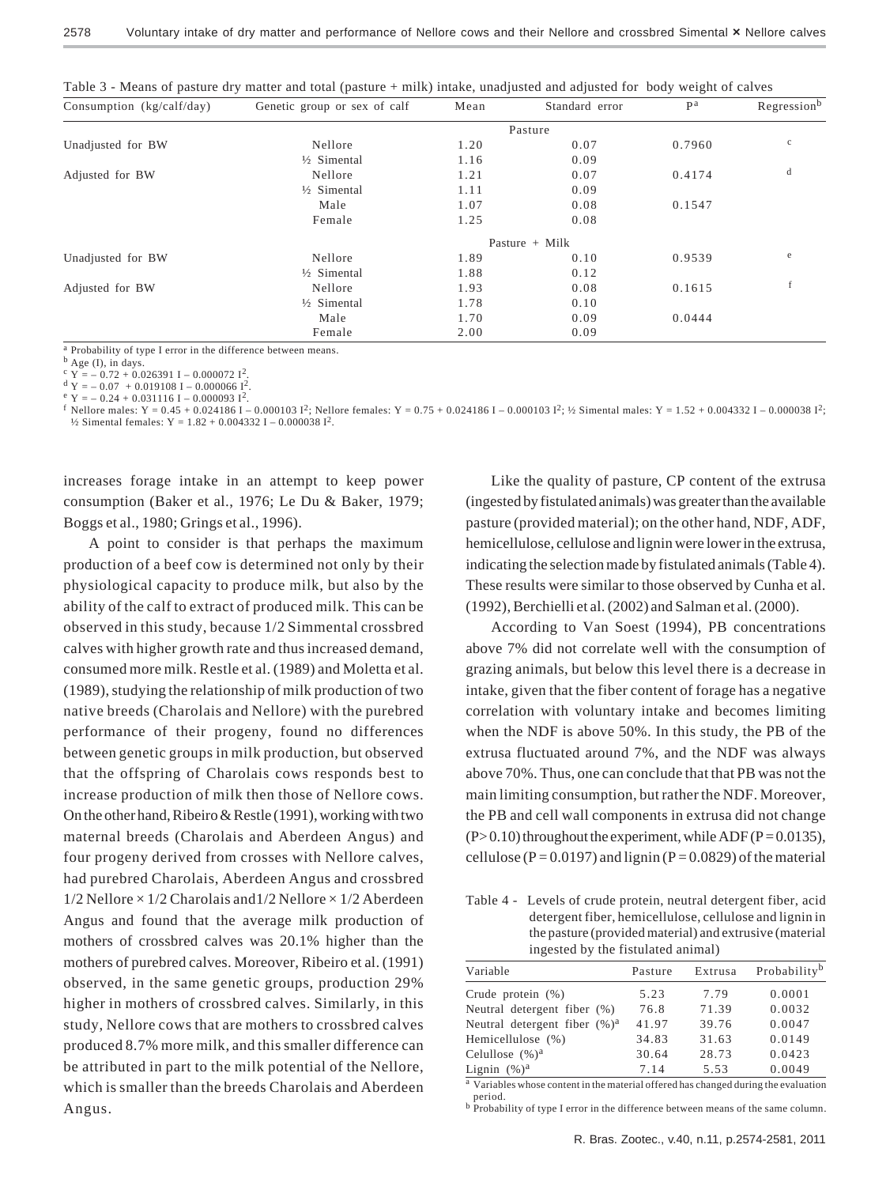| Consumption (kg/calf/day) | Genetic group or sex of calf | Mean | Standard error   | P <sup>a</sup> | Regressionb |
|---------------------------|------------------------------|------|------------------|----------------|-------------|
|                           |                              |      | Pasture          |                |             |
| Unadjusted for BW         | Nellore                      | 1.20 | 0.07             | 0.7960         | $\mathbf c$ |
|                           | $\frac{1}{2}$ Simental       | 1.16 | 0.09             |                |             |
| Adjusted for BW           | Nellore                      | 1.21 | 0.07             | 0.4174         | d           |
|                           | $\frac{1}{2}$ Simental       | 1.11 | 0.09             |                |             |
|                           | Male                         | 1.07 | 0.08             | 0.1547         |             |
|                           | Female                       | 1.25 | 0.08             |                |             |
|                           |                              |      | Pasture $+$ Milk |                |             |
| Unadjusted for BW         | Nellore                      | 1.89 | 0.10             | 0.9539         | e           |
|                           | $\frac{1}{2}$ Simental       | 1.88 | 0.12             |                |             |
| Adjusted for BW           | Nellore                      | 1.93 | 0.08             | 0.1615         | f           |
|                           | $\frac{1}{2}$ Simental       | 1.78 | 0.10             |                |             |
|                           | Male                         | 1.70 | 0.09             | 0.0444         |             |
|                           | Female                       | 2.00 | 0.09             |                |             |

Table 3 - Means of pasture dry matter and total (pasture + milk) intake, unadjusted and adjusted for body weight of calves

<sup>a</sup> Probability of type I error in the difference between means.

b Age (I), in days.<br>
c Y = -0.72 + 0.026391 I - 0.000072 I<sup>2</sup>.<br>
d Y = -0.07 + 0.019108 I - 0.000066 I<sup>2</sup>

 $^{\text{e}}$  Y = - 0.24 + 0.031116 I - 0.000093 1<sup>2</sup>.<br><sup>f</sup> Nellore males: Y = 0.45 + 0.024186 I - 0.000103 1<sup>2</sup>; Nellore females: Y = 0.75 + 0.024186 I - 0.000103 1<sup>2</sup>; ½ Simental males: Y = 1.52 + 0.004332 I - 0.000038 1<sup>2</sup>;  $\frac{1}{2}$  Simental females: Y = 1.82 + 0.004332 I – 0.000038 I<sup>2</sup>.

increases forage intake in an attempt to keep power consumption (Baker et al., 1976; Le Du & Baker, 1979; Boggs et al., 1980; Grings et al., 1996).

A point to consider is that perhaps the maximum production of a beef cow is determined not only by their physiological capacity to produce milk, but also by the ability of the calf to extract of produced milk. This can be observed in this study, because 1/2 Simmental crossbred calves with higher growth rate and thus increased demand, consumed more milk. Restle et al. (1989) and Moletta et al. (1989), studying the relationship of milk production of two native breeds (Charolais and Nellore) with the purebred performance of their progeny, found no differences between genetic groups in milk production, but observed that the offspring of Charolais cows responds best to increase production of milk then those of Nellore cows. On the other hand, Ribeiro & Restle (1991), working with two maternal breeds (Charolais and Aberdeen Angus) and four progeny derived from crosses with Nellore calves, had purebred Charolais, Aberdeen Angus and crossbred  $1/2$  Nellore  $\times$   $1/2$  Charolais and  $1/2$  Nellore  $\times$   $1/2$  Aberdeen Angus and found that the average milk production of mothers of crossbred calves was 20.1% higher than the mothers of purebred calves. Moreover, Ribeiro et al. (1991) observed, in the same genetic groups, production 29% higher in mothers of crossbred calves. Similarly, in this study, Nellore cows that are mothers to crossbred calves produced 8.7% more milk, and this smaller difference can be attributed in part to the milk potential of the Nellore, which is smaller than the breeds Charolais and Aberdeen Angus.

Like the quality of pasture, CP content of the extrusa (ingested by fistulated animals) was greater than the available pasture (provided material); on the other hand, NDF, ADF, hemicellulose, cellulose and lignin were lower in the extrusa, indicating the selection made by fistulated animals (Table 4). These results were similar to those observed by Cunha et al. (1992), Berchielli et al. (2002) and Salman et al. (2000).

According to Van Soest (1994), PB concentrations above 7% did not correlate well with the consumption of grazing animals, but below this level there is a decrease in intake, given that the fiber content of forage has a negative correlation with voluntary intake and becomes limiting when the NDF is above 50%. In this study, the PB of the extrusa fluctuated around 7%, and the NDF was always above 70%. Thus, one can conclude that that PB was not the main limiting consumption, but rather the NDF. Moreover, the PB and cell wall components in extrusa did not change  $(P> 0.10)$  throughout the experiment, while ADF (P = 0.0135), cellulose ( $P = 0.0197$ ) and lignin ( $P = 0.0829$ ) of the material

Table 4 - Levels of crude protein, neutral detergent fiber, acid detergent fiber, hemicellulose, cellulose and lignin in the pasture (provided material) and extrusive (material ingested by the fistulated animal)

| Variable                         | Pasture | Extrusa | Probability <sup>b</sup> |
|----------------------------------|---------|---------|--------------------------|
| Crude protein $(\%)$             | 5.23    | 7.79    | 0.0001                   |
| Neutral detergent fiber (%)      | 76.8    | 71.39   | 0.0032                   |
| Neutral detergent fiber $(\%)^a$ | 41.97   | 39.76   | 0.0047                   |
| Hemicellulose (%)                | 34.83   | 31.63   | 0.0149                   |
| Celullose $(\%)^a$               | 30.64   | 28.73   | 0.0423                   |
| Lignin $(\%)^a$                  | 7.14    | 5.53    | 0.0049                   |

<sup>a</sup> Variables whose content in the material offered has changed during the evaluation period.

<sup>b</sup> Probability of type I error in the difference between means of the same column.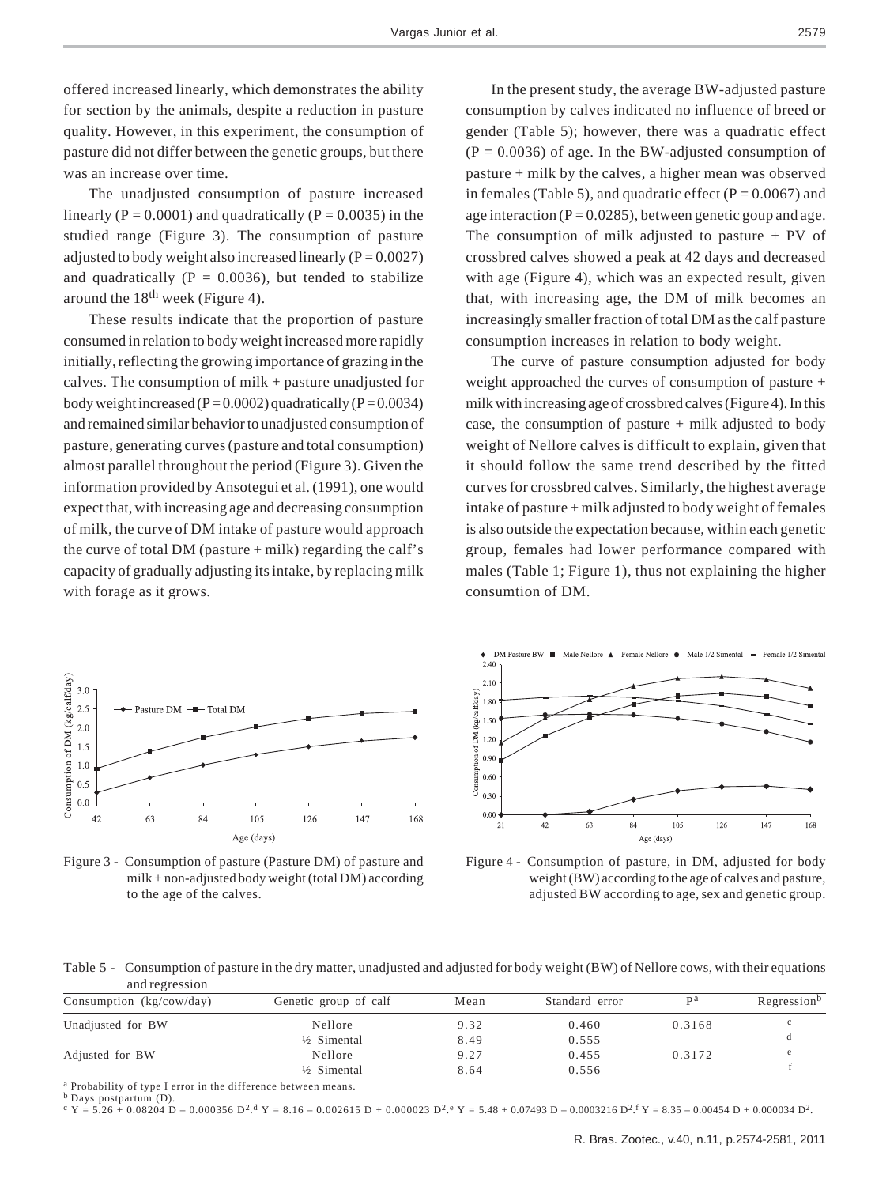offered increased linearly, which demonstrates the ability for section by the animals, despite a reduction in pasture quality. However, in this experiment, the consumption of pasture did not differ between the genetic groups, but there was an increase over time.

The unadjusted consumption of pasture increased linearly (P = 0.0001) and quadratically (P = 0.0035) in the studied range (Figure 3). The consumption of pasture adjusted to body weight also increased linearly ( $P = 0.0027$ ) and quadratically  $(P = 0.0036)$ , but tended to stabilize around the  $18<sup>th</sup>$  week (Figure 4).

These results indicate that the proportion of pasture consumed in relation to body weight increased more rapidly initially, reflecting the growing importance of grazing in the calves. The consumption of milk + pasture unadjusted for body weight increased ( $P = 0.0002$ ) quadratically ( $P = 0.0034$ ) and remained similar behavior to unadjusted consumption of pasture, generating curves (pasture and total consumption) almost parallel throughout the period (Figure 3). Given the information provided by Ansotegui et al. (1991), one would expect that, with increasing age and decreasing consumption of milk, the curve of DM intake of pasture would approach the curve of total DM (pasture  $+$  milk) regarding the calf's capacity of gradually adjusting its intake, by replacing milk with forage as it grows.

Consumption of DM (kg/calf/day)  $3.0$  $2.5$ Pasture DM -<sup>1</sup> Total DM  $2.0$  $1.5$  $1.f$  $0.5$  $0<sub>c</sub>$  $4<sup>2</sup>$ 63 84 105 126 147 168 Age (days)

Figure 3 - Consumption of pasture (Pasture DM) of pasture and milk + non-adjusted body weight (total DM) according to the age of the calves.



The curve of pasture consumption adjusted for body weight approached the curves of consumption of pasture + milk with increasing age of crossbred calves (Figure 4). In this case, the consumption of pasture  $+$  milk adjusted to body weight of Nellore calves is difficult to explain, given that it should follow the same trend described by the fitted curves for crossbred calves. Similarly, the highest average intake of pasture + milk adjusted to body weight of females is also outside the expectation because, within each genetic group, females had lower performance compared with males (Table 1; Figure 1), thus not explaining the higher consumtion of DM.



Figure 4 - Consumption of pasture, in DM, adjusted for body weight (BW) according to the age of calves and pasture, adjusted BW according to age, sex and genetic group.

Table 5 - Consumption of pasture in the dry matter, unadjusted and adjusted for body weight (BW) of Nellore cows, with their equations and regression

| Consumption $(kg/cow/day)$ | Genetic group of calf  | Mean | Standard error | pa     | Regression <sup>b</sup> |
|----------------------------|------------------------|------|----------------|--------|-------------------------|
| Unadjusted for BW          | Nellore                | 9.32 | 0.460          | 0.3168 |                         |
|                            | $\frac{1}{2}$ Simental | 8.49 | 0.555          |        |                         |
| Adjusted for BW            | Nellore                | 9.27 | 0.455          | 0.3172 | e                       |
|                            | $\frac{1}{2}$ Simental | 8.64 | 0.556          |        |                         |

<sup>a</sup> Probability of type I error in the difference between means. <sup>b</sup> Days postpartum (D).

 $c \text{ } Y = 5.26 + 0.08204 \text{ D} - 0.000356 \text{ D}^2$ . $d \text{ } Y = 8.16 - 0.002615 \text{ D} + 0.000023 \text{ D}^2$ .  $e \text{ } Y = 5.48 + 0.07493 \text{ D} - 0.0003216 \text{ D}^2$ .  $f \text{ } Y = 8.35 - 0.00454 \text{ D} + 0.000034 \text{ D}^2$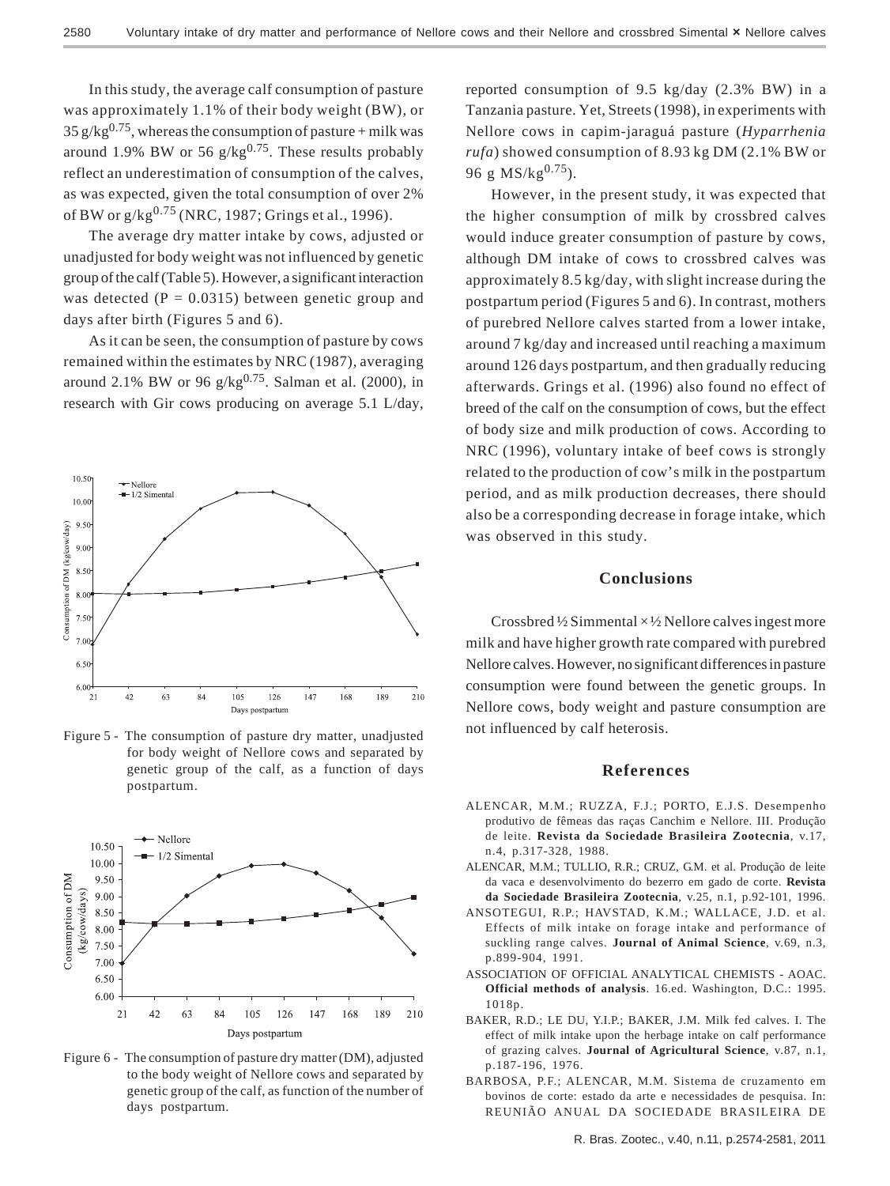In this study, the average calf consumption of pasture was approximately 1.1% of their body weight (BW), or  $35 \text{ g/kg}^{0.75}$ , whereas the consumption of pasture + milk was around 1.9% BW or 56  $g/kg^{0.75}$ . These results probably reflect an underestimation of consumption of the calves, as was expected, given the total consumption of over 2% of BW or  $g/kg^{0.75}$  (NRC, 1987; Grings et al., 1996).

The average dry matter intake by cows, adjusted or unadjusted for body weight was not influenced by genetic group of the calf (Table 5). However, a significant interaction was detected  $(P = 0.0315)$  between genetic group and days after birth (Figures 5 and 6).

As it can be seen, the consumption of pasture by cows remained within the estimates by NRC (1987), averaging around 2.1% BW or 96 g/kg $^{0.75}$ . Salman et al. (2000), in research with Gir cows producing on average 5.1 L/day,



Figure 5 - The consumption of pasture dry matter, unadjusted for body weight of Nellore cows and separated by genetic group of the calf, as a function of days postpartum.



Figure 6 - The consumption of pasture dry matter (DM), adjusted to the body weight of Nellore cows and separated by genetic group of the calf, as function of the number of days postpartum.

reported consumption of 9.5 kg/day (2.3% BW) in a Tanzania pasture. Yet, Streets (1998), in experiments with Nellore cows in capim-jaraguá pasture (*Hyparrhenia rufa*) showed consumption of 8.93 kg DM (2.1% BW or 96 g MS/kg $^{0.75}$ ).

However, in the present study, it was expected that the higher consumption of milk by crossbred calves would induce greater consumption of pasture by cows, although DM intake of cows to crossbred calves was approximately 8.5 kg/day, with slight increase during the postpartum period (Figures 5 and 6). In contrast, mothers of purebred Nellore calves started from a lower intake, around 7 kg/day and increased until reaching a maximum around 126 days postpartum, and then gradually reducing afterwards. Grings et al. (1996) also found no effect of breed of the calf on the consumption of cows, but the effect of body size and milk production of cows. According to NRC (1996), voluntary intake of beef cows is strongly related to the production of cow's milk in the postpartum period, and as milk production decreases, there should also be a corresponding decrease in forage intake, which was observed in this study.

### **Conclusions**

Crossbred ½ Simmental  $\times$  ½ Nellore calves ingest more milk and have higher growth rate compared with purebred Nellore calves. However, no significant differences in pasture consumption were found between the genetic groups. In Nellore cows, body weight and pasture consumption are not influenced by calf heterosis.

#### **References**

- ALENCAR, M.M.; RUZZA, F.J.; PORTO, E.J.S. Desempenho produtivo de fêmeas das raças Canchim e Nellore. III. Produção de leite. **Revista da Sociedade Brasileira Zootecnia**, v.17, n.4, p.317-328, 1988.
- ALENCAR, M.M.; TULLIO, R.R.; CRUZ, G.M. et al. Produção de leite da vaca e desenvolvimento do bezerro em gado de corte. **Revista da Sociedade Brasileira Zootecnia**, v.25, n.1, p.92-101, 1996.
- ANSOTEGUI, R.P.; HAVSTAD, K.M.; WALLACE, J.D. et al. Effects of milk intake on forage intake and performance of suckling range calves. **Journal of Animal Science**, v.69, n.3, p.899-904, 1991.
- ASSOCIATION OF OFFICIAL ANALYTICAL CHEMISTS AOAC. **Official methods of analysis**. 16.ed. Washington, D.C.: 1995. 1018p.
- BAKER, R.D.; LE DU, Y.I.P.; BAKER, J.M. Milk fed calves. I. The effect of milk intake upon the herbage intake on calf performance of grazing calves. **Journal of Agricultural Science**, v.87, n.1, p.187-196, 1976.
- BARBOSA, P.F.; ALENCAR, M.M. Sistema de cruzamento em bovinos de corte: estado da arte e necessidades de pesquisa. In: REUNIÃO ANUAL DA SOCIEDADE BRASILEIRA DE